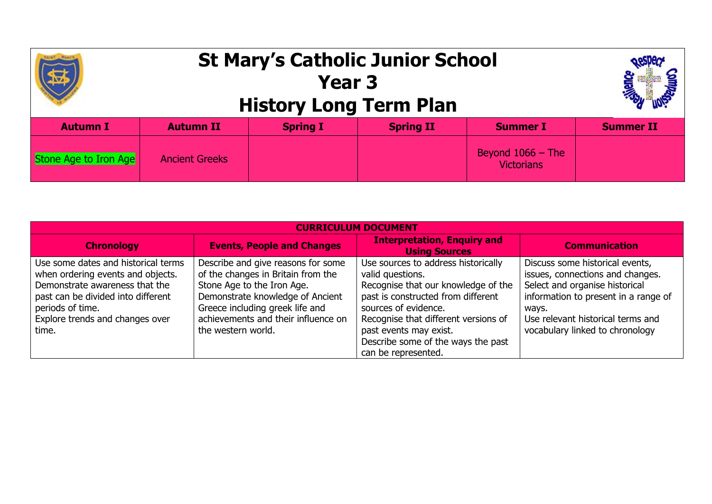## **St Mary's Catholic Junior School Year 3 History Long Term Plan Autumn I Autumn II Spring I Spring II Summer I Summer II** Stone Age to Iron Age Ancient Greeks Beyond 1066 – The **Victorians**

| <b>CURRICULUM DOCUMENT</b>                                                                                                                                                                                       |                                                                                                                                                                                                                                            |                                                                                                                                                                                                                                                                                             |                                                                                                                                                                                                                                |  |  |  |  |
|------------------------------------------------------------------------------------------------------------------------------------------------------------------------------------------------------------------|--------------------------------------------------------------------------------------------------------------------------------------------------------------------------------------------------------------------------------------------|---------------------------------------------------------------------------------------------------------------------------------------------------------------------------------------------------------------------------------------------------------------------------------------------|--------------------------------------------------------------------------------------------------------------------------------------------------------------------------------------------------------------------------------|--|--|--|--|
| <b>Chronology</b>                                                                                                                                                                                                | <b>Events, People and Changes</b>                                                                                                                                                                                                          | <b>Interpretation, Enquiry and</b><br><b>Using Sources</b>                                                                                                                                                                                                                                  | <b>Communication</b>                                                                                                                                                                                                           |  |  |  |  |
| Use some dates and historical terms<br>when ordering events and objects.<br>Demonstrate awareness that the<br>past can be divided into different<br>periods of time.<br>Explore trends and changes over<br>time. | Describe and give reasons for some<br>of the changes in Britain from the<br>Stone Age to the Iron Age.<br>Demonstrate knowledge of Ancient<br>Greece including greek life and<br>achievements and their influence on<br>the western world. | Use sources to address historically<br>valid questions.<br>Recognise that our knowledge of the<br>past is constructed from different<br>sources of evidence.<br>Recognise that different versions of<br>past events may exist.<br>Describe some of the ways the past<br>can be represented. | Discuss some historical events,<br>issues, connections and changes.<br>Select and organise historical<br>information to present in a range of<br>ways.<br>Use relevant historical terms and<br>vocabulary linked to chronology |  |  |  |  |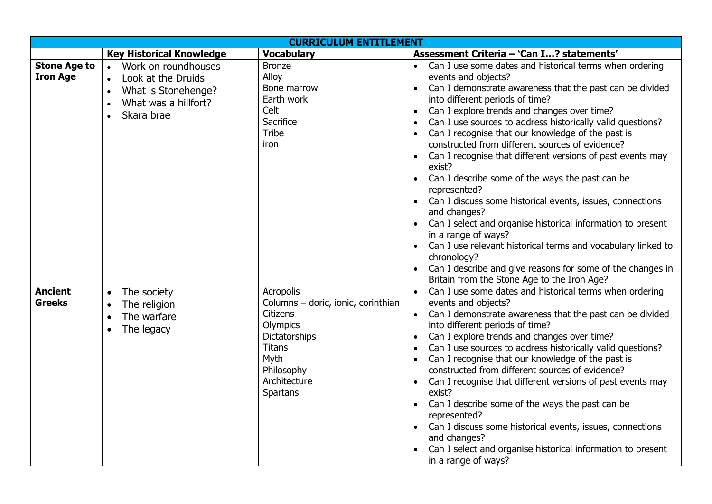| <b>CURRICULUM ENTITLEMENT</b>          |                                                                                            |                                                        |                                                                                                                                                                              |  |  |  |
|----------------------------------------|--------------------------------------------------------------------------------------------|--------------------------------------------------------|------------------------------------------------------------------------------------------------------------------------------------------------------------------------------|--|--|--|
|                                        | <b>Key Historical Knowledge</b>                                                            | <b>Vocabulary</b>                                      | Assessment Criteria - 'Can I? statements'                                                                                                                                    |  |  |  |
| <b>Stone Age to</b><br><b>Iron Age</b> | Work on roundhouses<br>$\bullet$<br>Look at the Druids<br>$\bullet$<br>What is Stonehenge? | <b>Bronze</b><br>Alloy<br>Bone marrow                  | Can I use some dates and historical terms when ordering<br>events and objects?<br>Can I demonstrate awareness that the past can be divided<br>$\bullet$                      |  |  |  |
|                                        | $\bullet$<br>What was a hillfort?<br>Skara brae                                            | Earth work<br>Celt<br>Sacrifice                        | into different periods of time?<br>Can I explore trends and changes over time?<br>$\bullet$<br>Can I use sources to address historically valid questions?<br>$\bullet$       |  |  |  |
|                                        |                                                                                            | <b>Tribe</b><br>iron                                   | Can I recognise that our knowledge of the past is<br>constructed from different sources of evidence?<br>Can I recognise that different versions of past events may<br>exist? |  |  |  |
|                                        |                                                                                            |                                                        | Can I describe some of the ways the past can be<br>represented?                                                                                                              |  |  |  |
|                                        |                                                                                            |                                                        | Can I discuss some historical events, issues, connections<br>and changes?                                                                                                    |  |  |  |
|                                        |                                                                                            |                                                        | Can I select and organise historical information to present<br>in a range of ways?                                                                                           |  |  |  |
|                                        |                                                                                            |                                                        | Can I use relevant historical terms and vocabulary linked to<br>chronology?                                                                                                  |  |  |  |
|                                        |                                                                                            |                                                        | Can I describe and give reasons for some of the changes in<br>Britain from the Stone Age to the Iron Age?                                                                    |  |  |  |
| <b>Ancient</b><br><b>Greeks</b>        | The society<br>$\bullet$<br>The religion<br>$\bullet$                                      | <b>Acropolis</b><br>Columns - doric, ionic, corinthian | Can I use some dates and historical terms when ordering<br>events and objects?                                                                                               |  |  |  |
|                                        | The warfare<br>$\bullet$<br>The legacy<br>$\bullet$                                        | <b>Citizens</b><br>Olympics                            | Can I demonstrate awareness that the past can be divided<br>into different periods of time?                                                                                  |  |  |  |
|                                        |                                                                                            | Dictatorships<br><b>Titans</b>                         | Can I explore trends and changes over time?<br>$\bullet$<br>Can I use sources to address historically valid questions?<br>$\bullet$                                          |  |  |  |
|                                        |                                                                                            | Myth<br>Philosophy                                     | Can I recognise that our knowledge of the past is<br>$\bullet$<br>constructed from different sources of evidence?                                                            |  |  |  |
|                                        |                                                                                            | Architecture<br>Spartans                               | Can I recognise that different versions of past events may<br>exist?                                                                                                         |  |  |  |
|                                        |                                                                                            |                                                        | Can I describe some of the ways the past can be<br>represented?                                                                                                              |  |  |  |
|                                        |                                                                                            |                                                        | Can I discuss some historical events, issues, connections<br>and changes?                                                                                                    |  |  |  |
|                                        |                                                                                            |                                                        | Can I select and organise historical information to present<br>in a range of ways?                                                                                           |  |  |  |